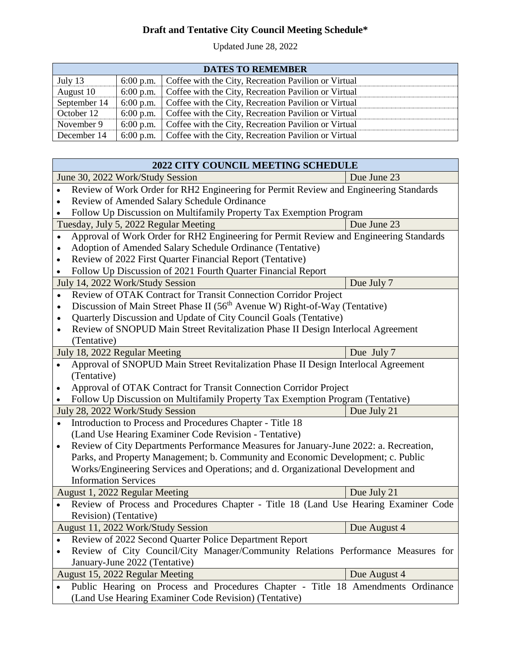## **Draft and Tentative City Council Meeting Schedule\***

Updated June 28, 2022

| <b>DATES TO REMEMBER</b> |  |                                                                  |  |  |  |
|--------------------------|--|------------------------------------------------------------------|--|--|--|
| July 13                  |  | 6:00 p.m.   Coffee with the City, Recreation Pavilion or Virtual |  |  |  |
| August 10                |  | 6:00 p.m.   Coffee with the City, Recreation Pavilion or Virtual |  |  |  |
| September 14             |  | 6:00 p.m.   Coffee with the City, Recreation Pavilion or Virtual |  |  |  |
| October 12               |  | 6:00 p.m.   Coffee with the City, Recreation Pavilion or Virtual |  |  |  |
| November 9               |  | 6:00 p.m.   Coffee with the City, Recreation Pavilion or Virtual |  |  |  |
| December 14              |  | 6:00 p.m.   Coffee with the City, Recreation Pavilion or Virtual |  |  |  |

 $\mathbf{r}$ 

| <b>2022 CITY COUNCIL MEETING SCHEDULE</b> |                                                                                         |              |  |  |  |  |
|-------------------------------------------|-----------------------------------------------------------------------------------------|--------------|--|--|--|--|
|                                           | June 30, 2022 Work/Study Session<br>Due June 23                                         |              |  |  |  |  |
|                                           | Review of Work Order for RH2 Engineering for Permit Review and Engineering Standards    |              |  |  |  |  |
| $\bullet$                                 | Review of Amended Salary Schedule Ordinance                                             |              |  |  |  |  |
| $\bullet$                                 | Follow Up Discussion on Multifamily Property Tax Exemption Program                      |              |  |  |  |  |
|                                           | Tuesday, July 5, 2022 Regular Meeting                                                   | Due June 23  |  |  |  |  |
|                                           | Approval of Work Order for RH2 Engineering for Permit Review and Engineering Standards  |              |  |  |  |  |
|                                           | Adoption of Amended Salary Schedule Ordinance (Tentative)                               |              |  |  |  |  |
| ٠                                         | Review of 2022 First Quarter Financial Report (Tentative)                               |              |  |  |  |  |
| ٠                                         | Follow Up Discussion of 2021 Fourth Quarter Financial Report                            |              |  |  |  |  |
|                                           | July 14, 2022 Work/Study Session                                                        | Due July 7   |  |  |  |  |
| $\bullet$                                 | Review of OTAK Contract for Transit Connection Corridor Project                         |              |  |  |  |  |
| $\bullet$                                 | Discussion of Main Street Phase II (56 <sup>th</sup> Avenue W) Right-of-Way (Tentative) |              |  |  |  |  |
| $\bullet$                                 | Quarterly Discussion and Update of City Council Goals (Tentative)                       |              |  |  |  |  |
| $\bullet$                                 | Review of SNOPUD Main Street Revitalization Phase II Design Interlocal Agreement        |              |  |  |  |  |
|                                           | (Tentative)                                                                             |              |  |  |  |  |
|                                           | July 18, 2022 Regular Meeting                                                           | Due July 7   |  |  |  |  |
|                                           | Approval of SNOPUD Main Street Revitalization Phase II Design Interlocal Agreement      |              |  |  |  |  |
|                                           | (Tentative)                                                                             |              |  |  |  |  |
| ٠                                         | Approval of OTAK Contract for Transit Connection Corridor Project                       |              |  |  |  |  |
|                                           | Follow Up Discussion on Multifamily Property Tax Exemption Program (Tentative)          |              |  |  |  |  |
|                                           | July 28, 2022 Work/Study Session                                                        | Due July 21  |  |  |  |  |
| $\bullet$                                 | Introduction to Process and Procedures Chapter - Title 18                               |              |  |  |  |  |
|                                           | (Land Use Hearing Examiner Code Revision - Tentative)                                   |              |  |  |  |  |
| $\bullet$                                 | Review of City Departments Performance Measures for January-June 2022: a. Recreation,   |              |  |  |  |  |
|                                           | Parks, and Property Management; b. Community and Economic Development; c. Public        |              |  |  |  |  |
|                                           | Works/Engineering Services and Operations; and d. Organizational Development and        |              |  |  |  |  |
|                                           | <b>Information Services</b>                                                             |              |  |  |  |  |
|                                           | August 1, 2022 Regular Meeting                                                          | Due July 21  |  |  |  |  |
|                                           | Review of Process and Procedures Chapter - Title 18 (Land Use Hearing Examiner Code     |              |  |  |  |  |
|                                           | Revision) (Tentative)                                                                   |              |  |  |  |  |
|                                           | August 11, 2022 Work/Study Session                                                      | Due August 4 |  |  |  |  |
|                                           | Review of 2022 Second Quarter Police Department Report                                  |              |  |  |  |  |
|                                           | Review of City Council/City Manager/Community Relations Performance Measures for        |              |  |  |  |  |
| January-June 2022 (Tentative)             |                                                                                         |              |  |  |  |  |
|                                           | August 15, 2022 Regular Meeting                                                         | Due August 4 |  |  |  |  |
|                                           | Public Hearing on Process and Procedures Chapter - Title 18 Amendments Ordinance        |              |  |  |  |  |
|                                           | (Land Use Hearing Examiner Code Revision) (Tentative)                                   |              |  |  |  |  |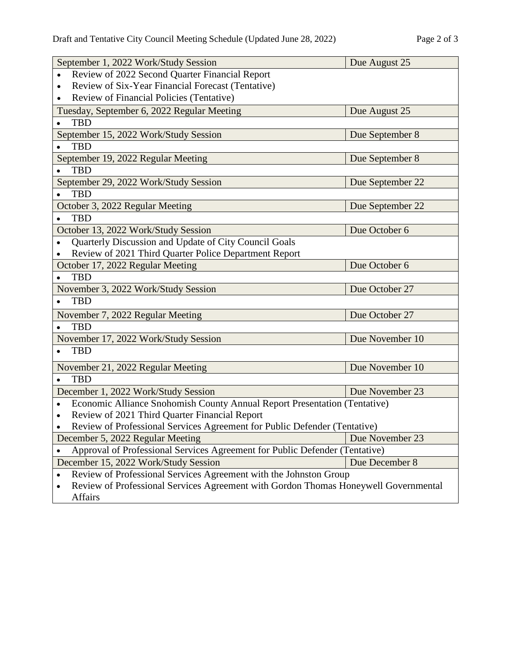| September 1, 2022 Work/Study Session                                                     | Due August 25    |  |  |  |  |  |
|------------------------------------------------------------------------------------------|------------------|--|--|--|--|--|
| Review of 2022 Second Quarter Financial Report<br>$\bullet$                              |                  |  |  |  |  |  |
| Review of Six-Year Financial Forecast (Tentative)<br>$\bullet$                           |                  |  |  |  |  |  |
| Review of Financial Policies (Tentative)                                                 |                  |  |  |  |  |  |
| Tuesday, September 6, 2022 Regular Meeting                                               | Due August 25    |  |  |  |  |  |
| <b>TBD</b>                                                                               |                  |  |  |  |  |  |
| September 15, 2022 Work/Study Session                                                    | Due September 8  |  |  |  |  |  |
| <b>TBD</b><br>$\bullet$                                                                  |                  |  |  |  |  |  |
| September 19, 2022 Regular Meeting                                                       | Due September 8  |  |  |  |  |  |
| <b>TBD</b>                                                                               |                  |  |  |  |  |  |
| September 29, 2022 Work/Study Session                                                    | Due September 22 |  |  |  |  |  |
| <b>TBD</b>                                                                               |                  |  |  |  |  |  |
| October 3, 2022 Regular Meeting                                                          | Due September 22 |  |  |  |  |  |
| <b>TBD</b>                                                                               |                  |  |  |  |  |  |
| October 13, 2022 Work/Study Session                                                      | Due October 6    |  |  |  |  |  |
| Quarterly Discussion and Update of City Council Goals                                    |                  |  |  |  |  |  |
| Review of 2021 Third Quarter Police Department Report                                    |                  |  |  |  |  |  |
| October 17, 2022 Regular Meeting                                                         | Due October 6    |  |  |  |  |  |
| <b>TBD</b>                                                                               |                  |  |  |  |  |  |
| November 3, 2022 Work/Study Session                                                      | Due October 27   |  |  |  |  |  |
| <b>TBD</b>                                                                               |                  |  |  |  |  |  |
| November 7, 2022 Regular Meeting                                                         | Due October 27   |  |  |  |  |  |
| <b>TBD</b>                                                                               |                  |  |  |  |  |  |
| November 17, 2022 Work/Study Session                                                     | Due November 10  |  |  |  |  |  |
| <b>TBD</b>                                                                               |                  |  |  |  |  |  |
| November 21, 2022 Regular Meeting                                                        | Due November 10  |  |  |  |  |  |
| <b>TBD</b>                                                                               |                  |  |  |  |  |  |
| December 1, 2022 Work/Study Session                                                      | Due November 23  |  |  |  |  |  |
| Economic Alliance Snohomish County Annual Report Presentation (Tentative)<br>$\bullet$   |                  |  |  |  |  |  |
| Review of 2021 Third Quarter Financial Report<br>$\bullet$                               |                  |  |  |  |  |  |
| Review of Professional Services Agreement for Public Defender (Tentative)                |                  |  |  |  |  |  |
| December 5, 2022 Regular Meeting                                                         | Due November 23  |  |  |  |  |  |
| Approval of Professional Services Agreement for Public Defender (Tentative)<br>$\bullet$ |                  |  |  |  |  |  |
| December 15, 2022 Work/Study Session                                                     | Due December 8   |  |  |  |  |  |
| Review of Professional Services Agreement with the Johnston Group                        |                  |  |  |  |  |  |
| Review of Professional Services Agreement with Gordon Thomas Honeywell Governmental<br>٠ |                  |  |  |  |  |  |
| Affairs                                                                                  |                  |  |  |  |  |  |